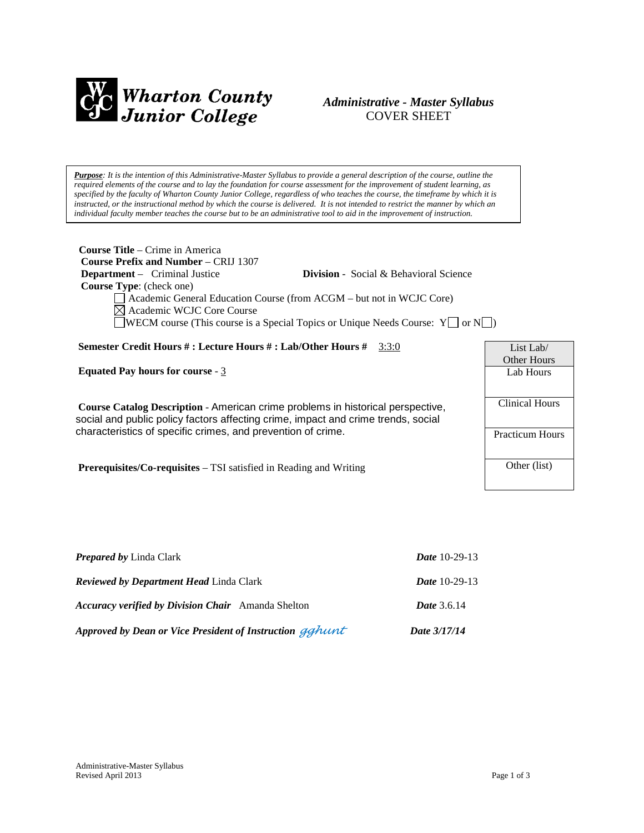

# *Administrative - Master Syllabus*  COVER SHEET

*Purpose: It is the intention of this Administrative-Master Syllabus to provide a general description of the course, outline the required elements of the course and to lay the foundation for course assessment for the improvement of student learning, as specified by the faculty of Wharton County Junior College, regardless of who teaches the course, the timeframe by which it is instructed, or the instructional method by which the course is delivered. It is not intended to restrict the manner by which an individual faculty member teaches the course but to be an administrative tool to aid in the improvement of instruction.*

| <b>Course Title</b> – Crime in America<br><b>Course Prefix and Number – CRIJ 1307</b><br><b>Department</b> – Criminal Justice<br><b>Division</b> - Social & Behavioral Science<br><b>Course Type:</b> (check one)<br>Academic General Education Course (from ACGM – but not in WCJC Core)<br>$\boxtimes$ Academic WCJC Core Course<br>$\Box$ WECM course (This course is a Special Topics or Unique Needs Course: Y $\Box$ or N $\Box$ ) |                                 |
|------------------------------------------------------------------------------------------------------------------------------------------------------------------------------------------------------------------------------------------------------------------------------------------------------------------------------------------------------------------------------------------------------------------------------------------|---------------------------------|
| <b>Semester Credit Hours #: Lecture Hours #: Lab/Other Hours #</b> 3:3:0                                                                                                                                                                                                                                                                                                                                                                 | List Lab/<br><b>Other Hours</b> |
| <b>Equated Pay hours for course - 3</b>                                                                                                                                                                                                                                                                                                                                                                                                  | Lab Hours                       |
| Course Catalog Description - American crime problems in historical perspective,<br>social and public policy factors affecting crime, impact and crime trends, social<br>characteristics of specific crimes, and prevention of crime.                                                                                                                                                                                                     | Clinical Hours                  |
|                                                                                                                                                                                                                                                                                                                                                                                                                                          | <b>Practicum Hours</b>          |
| <b>Prerequisites/Co-requisites</b> – TSI satisfied in Reading and Writing                                                                                                                                                                                                                                                                                                                                                                | Other (list)                    |

| <b>Prepared by Linda Clark</b>                            | <b>Date</b> 10-29-13 |
|-----------------------------------------------------------|----------------------|
| <b>Reviewed by Department Head Linda Clark</b>            | <b>Date</b> 10-29-13 |
| <b>Accuracy verified by Division Chair</b> Amanda Shelton | <b>Date</b> 3.6.14   |
| Approved by Dean or Vice President of Instruction gghunt  | Date 3/17/14         |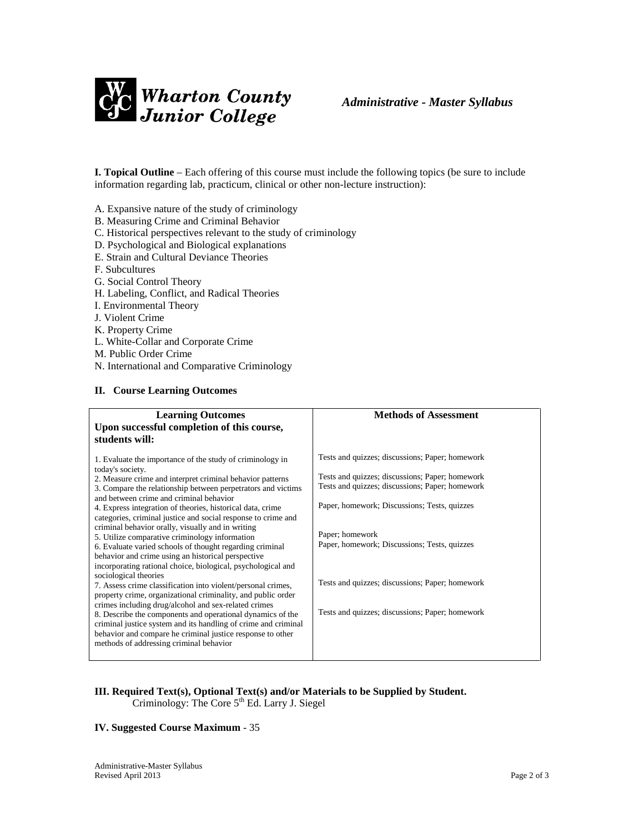

**I. Topical Outline** – Each offering of this course must include the following topics (be sure to include information regarding lab, practicum, clinical or other non-lecture instruction):

A. Expansive nature of the study of criminology

- B. Measuring Crime and Criminal Behavior
- C. Historical perspectives relevant to the study of criminology
- D. Psychological and Biological explanations
- E. Strain and Cultural Deviance Theories
- F. Subcultures
- G. Social Control Theory
- H. Labeling, Conflict, and Radical Theories
- I. Environmental Theory
- J. Violent Crime
- K. Property Crime
- L. White-Collar and Corporate Crime
- M. Public Order Crime
- N. International and Comparative Criminology

#### **II. Course Learning Outcomes**

| <b>Learning Outcomes</b><br>Upon successful completion of this course,<br>students will:                                                                                                                                                                                                                                                                                                                                                                                                                                                                                                                                                                                                                                                                                                                                                                                                                                                                                                                                                                                                                                                | <b>Methods of Assessment</b>                                                                                                                                                                                                                                                                                                                                                   |
|-----------------------------------------------------------------------------------------------------------------------------------------------------------------------------------------------------------------------------------------------------------------------------------------------------------------------------------------------------------------------------------------------------------------------------------------------------------------------------------------------------------------------------------------------------------------------------------------------------------------------------------------------------------------------------------------------------------------------------------------------------------------------------------------------------------------------------------------------------------------------------------------------------------------------------------------------------------------------------------------------------------------------------------------------------------------------------------------------------------------------------------------|--------------------------------------------------------------------------------------------------------------------------------------------------------------------------------------------------------------------------------------------------------------------------------------------------------------------------------------------------------------------------------|
| 1. Evaluate the importance of the study of criminology in<br>today's society.<br>2. Measure crime and interpret criminal behavior patterns<br>3. Compare the relationship between perpetrators and victims<br>and between crime and criminal behavior<br>4. Express integration of theories, historical data, crime<br>categories, criminal justice and social response to crime and<br>criminal behavior orally, visually and in writing<br>5. Utilize comparative criminology information<br>6. Evaluate varied schools of thought regarding criminal<br>behavior and crime using an historical perspective<br>incorporating rational choice, biological, psychological and<br>sociological theories<br>7. Assess crime classification into violent/personal crimes,<br>property crime, organizational criminality, and public order<br>crimes including drug/alcohol and sex-related crimes<br>8. Describe the components and operational dynamics of the<br>criminal justice system and its handling of crime and criminal<br>behavior and compare he criminal justice response to other<br>methods of addressing criminal behavior | Tests and quizzes; discussions; Paper; homework<br>Tests and quizzes; discussions; Paper; homework<br>Tests and quizzes; discussions; Paper; homework<br>Paper, homework; Discussions; Tests, quizzes<br>Paper; homework<br>Paper, homework; Discussions; Tests, quizzes<br>Tests and quizzes; discussions; Paper; homework<br>Tests and quizzes; discussions; Paper; homework |

#### **III. Required Text(s), Optional Text(s) and/or Materials to be Supplied by Student.** Criminology: The Core  $5<sup>th</sup>$  Ed. Larry J. Siegel

#### **IV. Suggested Course Maximum** - 35

Administrative-Master Syllabus Revised April 2013 Page 2 of 3